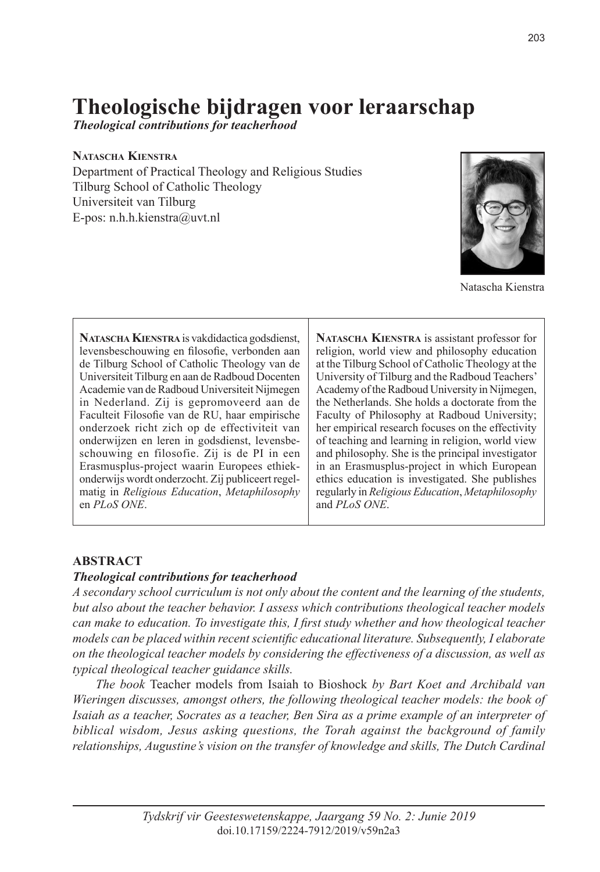# **Theologische bijdragen voor leraarschap**

*Theological contributions for teacherhood*

#### **Natascha Kienstra**

Department of Practical Theology and Religious Studies Tilburg School of Catholic Theology Universiteit van Tilburg E-pos: n.h.h.kienstra@uvt.nl



Natascha Kienstra

**Natascha Kienstra** is vakdidactica godsdienst, levensbeschouwing en filosofie, verbonden aan de Tilburg School of Catholic Theology van de Universiteit Tilburg en aan de Radboud Docenten Academie van de Radboud Universiteit Nijmegen in Nederland. Zij is gepromoveerd aan de Faculteit Filosofie van de RU, haar empirische onderzoek richt zich op de effectiviteit van onderwijzen en leren in godsdienst, levensbeschouwing en filosofie. Zij is de PI in een Erasmusplus-project waarin Europees ethiekonderwijs wordt onderzocht. Zij publiceert regelmatig in *Religious Education*, *Metaphilosophy* en *PLoS ONE*.

**Natascha Kienstra** is assistant professor for religion, world view and philosophy education at the Tilburg School of Catholic Theology at the University of Tilburg and the Radboud Teachers' Academy of the Radboud University in Nijmegen, the Netherlands. She holds a doctorate from the Faculty of Philosophy at Radboud University; her empirical research focuses on the effectivity of teaching and learning in religion, world view and philosophy. She is the principal investigator in an Erasmusplus-project in which European ethics education is investigated. She publishes regularly in *Religious Education*, *Metaphilosophy* and *PLoS ONE*.

#### **ABSTRACT**

#### *Theological contributions for teacherhood*

*A secondary school curriculum is not only about the content and the learning of the students, but also about the teacher behavior. I assess which contributions theological teacher models can make to education. To investigate this, I first study whether and how theological teacher models can be placed within recent scientific educational literature. Subsequently, I elaborate on the theological teacher models by considering the effectiveness of a discussion, as well as typical theological teacher guidance skills.*

*The book* Teacher models from Isaiah to Bioshock *by Bart Koet and Archibald van Wieringen discusses, amongst others, the following theological teacher models: the book of Isaiah as a teacher, Socrates as a teacher, Ben Sira as a prime example of an interpreter of biblical wisdom, Jesus asking questions, the Torah against the background of family relationships, Augustine's vision on the transfer of knowledge and skills, The Dutch Cardinal*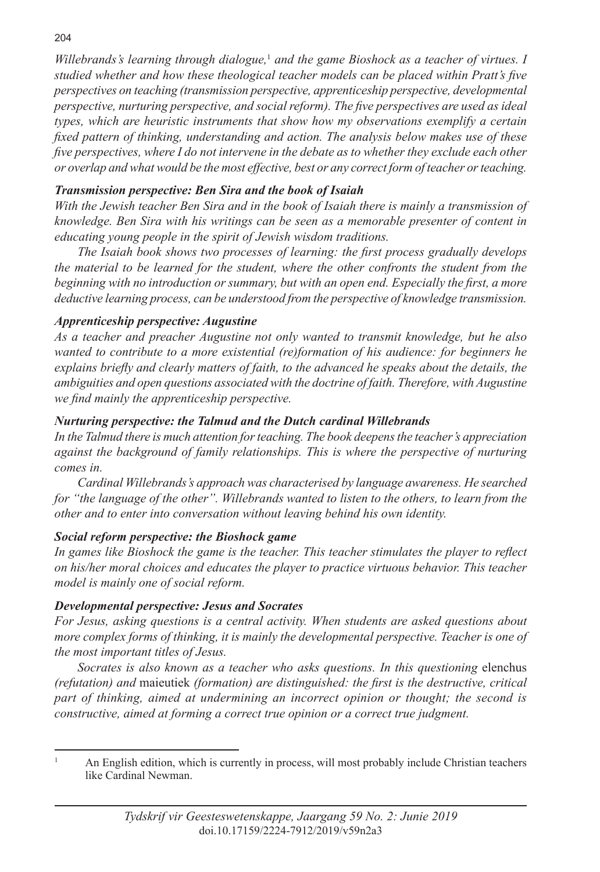Willebrands's learning through dialogue,<sup>1</sup> and the game Bioshock as a teacher of virtues. I *studied whether and how these theological teacher models can be placed within Pratt's five perspectives on teaching (transmission perspective, apprenticeship perspective, developmental perspective, nurturing perspective, and social reform). The five perspectives are used as ideal types, which are heuristic instruments that show how my observations exemplify a certain fixed pattern of thinking, understanding and action. The analysis below makes use of these five perspectives, where I do not intervene in the debate as to whether they exclude each other or overlap and what would be the most effective, best or any correct form of teacher or teaching.*

## *Transmission perspective: Ben Sira and the book of Isaiah*

*With the Jewish teacher Ben Sira and in the book of Isaiah there is mainly a transmission of knowledge. Ben Sira with his writings can be seen as a memorable presenter of content in educating young people in the spirit of Jewish wisdom traditions.*

*The Isaiah book shows two processes of learning: the first process gradually develops the material to be learned for the student, where the other confronts the student from the beginning with no introduction or summary, but with an open end. Especially the first, a more deductive learning process, can be understood from the perspective of knowledge transmission.*

## *Apprenticeship perspective: Augustine*

*As a teacher and preacher Augustine not only wanted to transmit knowledge, but he also wanted to contribute to a more existential (re)formation of his audience: for beginners he explains briefly and clearly matters of faith, to the advanced he speaks about the details, the ambiguities and open questions associated with the doctrine of faith. Therefore, with Augustine we find mainly the apprenticeship perspective.* 

## *Nurturing perspective: the Talmud and the Dutch cardinal Willebrands*

*In the Talmud there is much attention for teaching. The book deepens the teacher's appreciation against the background of family relationships. This is where the perspective of nurturing comes in.*

*Cardinal Willebrands's approach was characterised by language awareness. He searched for "the language of the other". Willebrands wanted to listen to the others, to learn from the other and to enter into conversation without leaving behind his own identity.*

## *Social reform perspective: the Bioshock game*

*In games like Bioshock the game is the teacher. This teacher stimulates the player to reflect on his/her moral choices and educates the player to practice virtuous behavior. This teacher model is mainly one of social reform.*

## *Developmental perspective: Jesus and Socrates*

*For Jesus, asking questions is a central activity. When students are asked questions about more complex forms of thinking, it is mainly the developmental perspective. Teacher is one of the most important titles of Jesus.*

*Socrates is also known as a teacher who asks questions. In this questioning* elenchus *(refutation) and* maieutiek *(formation) are distinguished: the first is the destructive, critical part of thinking, aimed at undermining an incorrect opinion or thought; the second is constructive, aimed at forming a correct true opinion or a correct true judgment.*

<sup>1</sup> An English edition, which is currently in process, will most probably include Christian teachers like Cardinal Newman.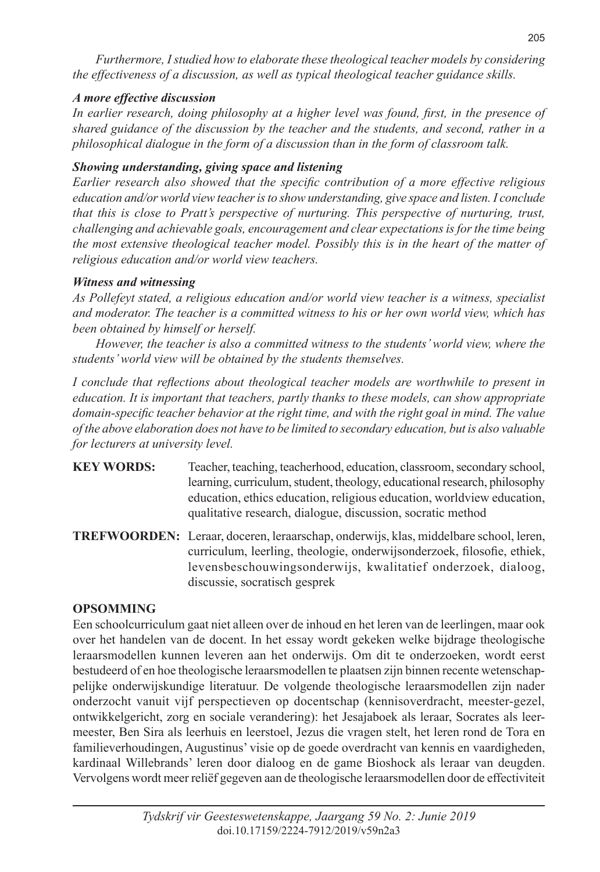*Furthermore, I studied how to elaborate these theological teacher models by considering the effectiveness of a discussion, as well as typical theological teacher guidance skills.*

#### *A more effective discussion*

*In earlier research, doing philosophy at a higher level was found, first, in the presence of shared guidance of the discussion by the teacher and the students, and second, rather in a philosophical dialogue in the form of a discussion than in the form of classroom talk.* 

#### *Showing understanding, giving space and listening*

*Earlier research also showed that the specific contribution of a more effective religious education and/or world view teacher is to show understanding, give space and listen. I conclude that this is close to Pratt's perspective of nurturing. This perspective of nurturing, trust, challenging and achievable goals, encouragement and clear expectations is for the time being the most extensive theological teacher model. Possibly this is in the heart of the matter of religious education and/or world view teachers.*

#### *Witness and witnessing*

*As Pollefeyt stated, a religious education and/or world view teacher is a witness, specialist and moderator. The teacher is a committed witness to his or her own world view, which has been obtained by himself or herself.*

*However, the teacher is also a committed witness to the students' world view, where the students' world view will be obtained by the students themselves.*

*I conclude that reflections about theological teacher models are worthwhile to present in education. It is important that teachers, partly thanks to these models, can show appropriate domain-specific teacher behavior at the right time, and with the right goal in mind. The value of the above elaboration does not have to be limited to secondary education, but is also valuable for lecturers at university level.*

- **KEY WORDS:** Teacher, teaching, teacherhood, education, classroom, secondary school, learning, curriculum, student, theology, educational research, philosophy education, ethics education, religious education, worldview education, qualitative research, dialogue, discussion, socratic method
- **TREFWOORDEN:** Leraar, doceren, leraarschap, onderwijs, klas, middelbare school, leren, curriculum, leerling, theologie, onderwijsonderzoek, filosofie, ethiek, levensbeschouwingsonderwijs, kwalitatief onderzoek, dialoog, discussie, socratisch gesprek

## **OPSOMMING**

Een schoolcurriculum gaat niet alleen over de inhoud en het leren van de leerlingen, maar ook over het handelen van de docent. In het essay wordt gekeken welke bijdrage theologische leraarsmodellen kunnen leveren aan het onderwijs. Om dit te onderzoeken, wordt eerst bestudeerd of en hoe theologische leraarsmodellen te plaatsen zijn binnen recente wetenschappelijke onderwijskundige literatuur. De volgende theologische leraarsmodellen zijn nader onderzocht vanuit vijf perspectieven op docentschap (kennisoverdracht, meester-gezel, ontwikkelgericht, zorg en sociale verandering): het Jesajaboek als leraar, Socrates als leermeester, Ben Sira als leerhuis en leerstoel, Jezus die vragen stelt, het leren rond de Tora en familieverhoudingen, Augustinus' visie op de goede overdracht van kennis en vaardigheden, kardinaal Willebrands' leren door dialoog en de game Bioshock als leraar van deugden. Vervolgens wordt meer reliëf gegeven aan de theologische leraarsmodellen door de effectiviteit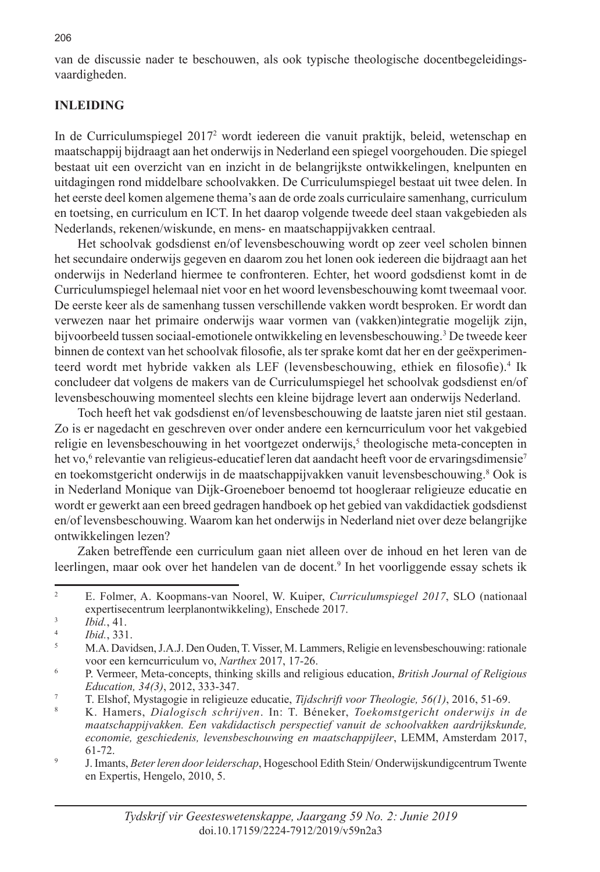van de discussie nader te beschouwen, als ook typische theologische docentbegeleidingsvaardigheden.

#### **INLEIDING**

In de Curriculumspiegel 20172 wordt iedereen die vanuit praktijk, beleid, wetenschap en maatschappij bijdraagt aan het onderwijs in Nederland een spiegel voorgehouden. Die spiegel bestaat uit een overzicht van en inzicht in de belangrijkste ontwikkelingen, knelpunten en uitdagingen rond middelbare schoolvakken. De Curriculumspiegel bestaat uit twee delen. In het eerste deel komen algemene thema's aan de orde zoals curriculaire samenhang, curriculum en toetsing, en curriculum en ICT. In het daarop volgende tweede deel staan vakgebieden als Nederlands, rekenen/wiskunde, en mens- en maatschappijvakken centraal.

Het schoolvak godsdienst en/of levensbeschouwing wordt op zeer veel scholen binnen het secundaire onderwijs gegeven en daarom zou het lonen ook iedereen die bijdraagt aan het onderwijs in Nederland hiermee te confronteren. Echter, het woord godsdienst komt in de Curriculumspiegel helemaal niet voor en het woord levensbeschouwing komt tweemaal voor. De eerste keer als de samenhang tussen verschillende vakken wordt besproken. Er wordt dan verwezen naar het primaire onderwijs waar vormen van (vakken)integratie mogelijk zijn, bijvoorbeeld tussen sociaal-emotionele ontwikkeling en levensbeschouwing.<sup>3</sup> De tweede keer binnen de context van het schoolvak filosofie, als ter sprake komt dat her en der geëxperimenteerd wordt met hybride vakken als LEF (levensbeschouwing, ethiek en filosofie).<sup>4</sup> Ik concludeer dat volgens de makers van de Curriculumspiegel het schoolvak godsdienst en/of levensbeschouwing momenteel slechts een kleine bijdrage levert aan onderwijs Nederland.

Toch heeft het vak godsdienst en/of levensbeschouwing de laatste jaren niet stil gestaan. Zo is er nagedacht en geschreven over onder andere een kerncurriculum voor het vakgebied religie en levensbeschouwing in het voortgezet onderwijs,<sup>5</sup> theologische meta-concepten in het vo,<sup>6</sup> relevantie van religieus-educatief leren dat aandacht heeft voor de ervaringsdimensie<sup>7</sup> en toekomstgericht onderwijs in de maatschappijvakken vanuit levensbeschouwing.<sup>8</sup> Ook is in Nederland Monique van Dijk-Groeneboer benoemd tot hoogleraar religieuze educatie en wordt er gewerkt aan een breed gedragen handboek op het gebied van vakdidactiek godsdienst en/of levensbeschouwing. Waarom kan het onderwijs in Nederland niet over deze belangrijke ontwikkelingen lezen?

Zaken betreffende een curriculum gaan niet alleen over de inhoud en het leren van de leerlingen, maar ook over het handelen van de docent.<sup>9</sup> In het voorliggende essay schets ik

<sup>2</sup> E. Folmer, A. Koopmans-van Noorel, W. Kuiper, *Curriculumspiegel 2017*, SLO (nationaal expertisecentrum leerplanontwikkeling), Enschede 2017.

 $\frac{3}{4}$  *Ibid.*, 41.

<sup>4</sup> *Ibid.*, 331.

<sup>5</sup> M.A. Davidsen, J.A.J. Den Ouden, T. Visser, M. Lammers, Religie en levensbeschouwing: rationale voor een kerncurriculum vo, *Narthex* 2017, 17-26.

<sup>6</sup> P. Vermeer, Meta-concepts, thinking skills and religious education, *British Journal of Religious Education, 34(3)*, 2012, 333-347.

<sup>7</sup> T. Elshof, Mystagogie in religieuze educatie, *Tijdschrift voor Theologie, 56(1)*, 2016, 51-69.

<sup>8</sup> K. Hamers, *Dialogisch schrijven*. In: T. Béneker, *Toekomstgericht onderwijs in de maatschappijvakken. Een vakdidactisch perspectief vanuit de schoolvakken aardrijkskunde, economie, geschiedenis, levensbeschouwing en maatschappijleer*, LEMM, Amsterdam 2017, 61-72.

<sup>9</sup> J. Imants, *Beter leren door leiderschap*, Hogeschool Edith Stein/ Onderwijskundigcentrum Twente en Expertis, Hengelo, 2010, 5.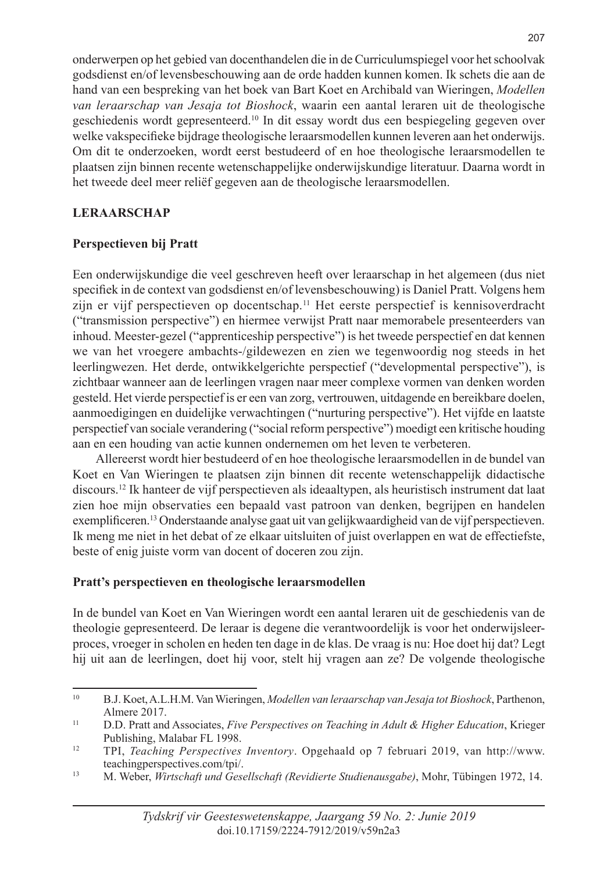onderwerpen op het gebied van docenthandelen die in de Curriculumspiegel voor het schoolvak godsdienst en/of levensbeschouwing aan de orde hadden kunnen komen. Ik schets die aan de hand van een bespreking van het boek van Bart Koet en Archibald van Wieringen, *Modellen van leraarschap van Jesaja tot Bioshock*, waarin een aantal leraren uit de theologische geschiedenis wordt gepresenteerd.10 In dit essay wordt dus een bespiegeling gegeven over welke vakspecifieke bijdrage theologische leraarsmodellen kunnen leveren aan het onderwijs. Om dit te onderzoeken, wordt eerst bestudeerd of en hoe theologische leraarsmodellen te plaatsen zijn binnen recente wetenschappelijke onderwijskundige literatuur. Daarna wordt in het tweede deel meer reliëf gegeven aan de theologische leraarsmodellen.

## **LERAARSCHAP**

## **Perspectieven bij Pratt**

Een onderwijskundige die veel geschreven heeft over leraarschap in het algemeen (dus niet specifiek in de context van godsdienst en/of levensbeschouwing) is Daniel Pratt. Volgens hem zijn er vijf perspectieven op docentschap.11 Het eerste perspectief is kennisoverdracht ("transmission perspective") en hiermee verwijst Pratt naar memorabele presenteerders van inhoud. Meester-gezel ("apprenticeship perspective") is het tweede perspectief en dat kennen we van het vroegere ambachts-/gildewezen en zien we tegenwoordig nog steeds in het leerlingwezen. Het derde, ontwikkelgerichte perspectief ("developmental perspective"), is zichtbaar wanneer aan de leerlingen vragen naar meer complexe vormen van denken worden gesteld. Het vierde perspectief is er een van zorg, vertrouwen, uitdagende en bereikbare doelen, aanmoedigingen en duidelijke verwachtingen ("nurturing perspective"). Het vijfde en laatste perspectief van sociale verandering ("social reform perspective") moedigt een kritische houding aan en een houding van actie kunnen ondernemen om het leven te verbeteren.

Allereerst wordt hier bestudeerd of en hoe theologische leraarsmodellen in de bundel van Koet en Van Wieringen te plaatsen zijn binnen dit recente wetenschappelijk didactische discours.12 Ik hanteer de vijf perspectieven als ideaaltypen, als heuristisch instrument dat laat zien hoe mijn observaties een bepaald vast patroon van denken, begrijpen en handelen exemplificeren.13 Onderstaande analyse gaat uit van gelijkwaardigheid van de vijf perspectieven. Ik meng me niet in het debat of ze elkaar uitsluiten of juist overlappen en wat de effectiefste, beste of enig juiste vorm van docent of doceren zou zijn.

## **Pratt's perspectieven en theologische leraarsmodellen**

In de bundel van Koet en Van Wieringen wordt een aantal leraren uit de geschiedenis van de theologie gepresenteerd. De leraar is degene die verantwoordelijk is voor het onderwijsleerproces, vroeger in scholen en heden ten dage in de klas. De vraag is nu: Hoe doet hij dat? Legt hij uit aan de leerlingen, doet hij voor, stelt hij vragen aan ze? De volgende theologische

<sup>10</sup> B.J. Koet, A.L.H.M. Van Wieringen, *Modellen van leraarschap van Jesaja tot Bioshock*, Parthenon, Almere 2017.

<sup>11</sup> D.D. Pratt and Associates, *Five Perspectives on Teaching in Adult & Higher Education*, Krieger Publishing, Malabar FL 1998.

<sup>12</sup> TPI, *Teaching Perspectives Inventory*. Opgehaald op 7 februari 2019, van http://www. teachingperspectives.com/tpi/.

<sup>13</sup> M. Weber, *Wirtschaft und Gesellschaft (Revidierte Studienausgabe)*, Mohr, Tübingen 1972, 14.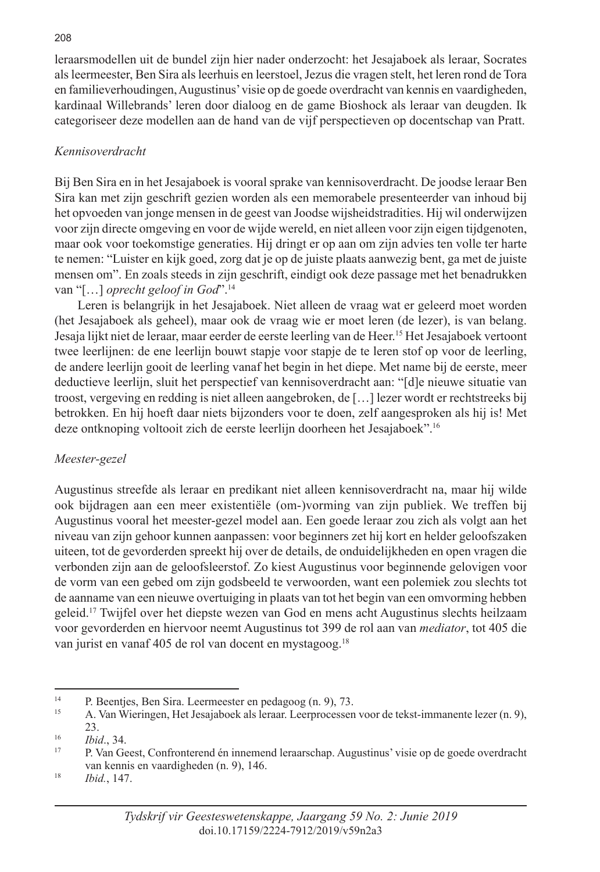leraarsmodellen uit de bundel zijn hier nader onderzocht: het Jesajaboek als leraar, Socrates als leermeester, Ben Sira als leerhuis en leerstoel, Jezus die vragen stelt, het leren rond de Tora en familieverhoudingen, Augustinus' visie op de goede overdracht van kennis en vaardigheden, kardinaal Willebrands' leren door dialoog en de game Bioshock als leraar van deugden. Ik categoriseer deze modellen aan de hand van de vijf perspectieven op docentschap van Pratt.

## *Kennisoverdracht*

Bij Ben Sira en in het Jesajaboek is vooral sprake van kennisoverdracht. De joodse leraar Ben Sira kan met zijn geschrift gezien worden als een memorabele presenteerder van inhoud bij het opvoeden van jonge mensen in de geest van Joodse wijsheidstradities. Hij wil onderwijzen voor zijn directe omgeving en voor de wijde wereld, en niet alleen voor zijn eigen tijdgenoten, maar ook voor toekomstige generaties. Hij dringt er op aan om zijn advies ten volle ter harte te nemen: "Luister en kijk goed, zorg dat je op de juiste plaats aanwezig bent, ga met de juiste mensen om". En zoals steeds in zijn geschrift, eindigt ook deze passage met het benadrukken van "[…] *oprecht geloof in God*".14

Leren is belangrijk in het Jesajaboek. Niet alleen de vraag wat er geleerd moet worden (het Jesajaboek als geheel), maar ook de vraag wie er moet leren (de lezer), is van belang. Jesaja lijkt niet de leraar, maar eerder de eerste leerling van de Heer.15 Het Jesajaboek vertoont twee leerlijnen: de ene leerlijn bouwt stapje voor stapje de te leren stof op voor de leerling, de andere leerlijn gooit de leerling vanaf het begin in het diepe. Met name bij de eerste, meer deductieve leerlijn, sluit het perspectief van kennisoverdracht aan: "[d]e nieuwe situatie van troost, vergeving en redding is niet alleen aangebroken, de […] lezer wordt er rechtstreeks bij betrokken. En hij hoeft daar niets bijzonders voor te doen, zelf aangesproken als hij is! Met deze ontknoping voltooit zich de eerste leerlijn doorheen het Jesajaboek".16

## *Meester-gezel*

Augustinus streefde als leraar en predikant niet alleen kennisoverdracht na, maar hij wilde ook bijdragen aan een meer existentiële (om-)vorming van zijn publiek. We treffen bij Augustinus vooral het meester-gezel model aan. Een goede leraar zou zich als volgt aan het niveau van zijn gehoor kunnen aanpassen: voor beginners zet hij kort en helder geloofszaken uiteen, tot de gevorderden spreekt hij over de details, de onduidelijkheden en open vragen die verbonden zijn aan de geloofsleerstof. Zo kiest Augustinus voor beginnende gelovigen voor de vorm van een gebed om zijn godsbeeld te verwoorden, want een polemiek zou slechts tot de aanname van een nieuwe overtuiging in plaats van tot het begin van een omvorming hebben geleid.17 Twijfel over het diepste wezen van God en mens acht Augustinus slechts heilzaam voor gevorderden en hiervoor neemt Augustinus tot 399 de rol aan van *mediator*, tot 405 die van jurist en vanaf 405 de rol van docent en mystagoog.18

<sup>&</sup>lt;sup>14</sup> P. Beentjes, Ben Sira. Leermeester en pedagoog  $(n, 9)$ , 73.

<sup>15</sup> A. Van Wieringen, Het Jesajaboek als leraar. Leerprocessen voor de tekst-immanente lezer (n. 9), 23.

<sup>16</sup> *Ibid*., 34.

<sup>17</sup> P. Van Geest, Confronterend én innemend leraarschap. Augustinus' visie op de goede overdracht van kennis en vaardigheden (n. 9), 146.

<sup>18</sup> *Ibid.*, 147.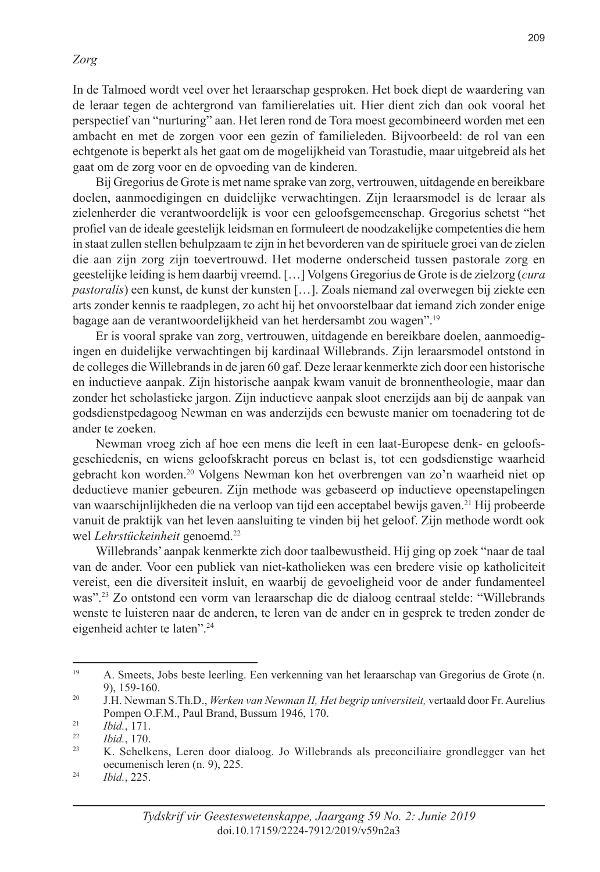#### *Zorg*

In de Talmoed wordt veel over het leraarschap gesproken. Het boek diept de waardering van de leraar tegen de achtergrond van familierelaties uit. Hier dient zich dan ook vooral het perspectief van "nurturing" aan. Het leren rond de Tora moest gecombineerd worden met een ambacht en met de zorgen voor een gezin of familieleden. Bijvoorbeeld: de rol van een echtgenote is beperkt als het gaat om de mogelijkheid van Torastudie, maar uitgebreid als het gaat om de zorg voor en de opvoeding van de kinderen.

Bij Gregorius de Grote is met name sprake van zorg, vertrouwen, uitdagende en bereikbare doelen, aanmoedigingen en duidelijke verwachtingen. Zijn leraarsmodel is de leraar als zielenherder die verantwoordelijk is voor een geloofsgemeenschap. Gregorius schetst "het profiel van de ideale geestelijk leidsman en formuleert de noodzakelijke competenties die hem in staat zullen stellen behulpzaam te zijn in het bevorderen van de spirituele groei van de zielen die aan zijn zorg zijn toevertrouwd. Het moderne onderscheid tussen pastorale zorg en geestelijke leiding is hem daarbij vreemd. […] Volgens Gregorius de Grote is de zielzorg (*cura pastoralis*) een kunst, de kunst der kunsten […]. Zoals niemand zal overwegen bij ziekte een arts zonder kennis te raadplegen, zo acht hij het onvoorstelbaar dat iemand zich zonder enige bagage aan de verantwoordelijkheid van het herdersambt zou wagen".19

Er is vooral sprake van zorg, vertrouwen, uitdagende en bereikbare doelen, aanmoedigingen en duidelijke verwachtingen bij kardinaal Willebrands. Zijn leraarsmodel ontstond in de colleges die Willebrands in de jaren 60 gaf. Deze leraar kenmerkte zich door een historische en inductieve aanpak. Zijn historische aanpak kwam vanuit de bronnentheologie, maar dan zonder het scholastieke jargon. Zijn inductieve aanpak sloot enerzijds aan bij de aanpak van godsdienstpedagoog Newman en was anderzijds een bewuste manier om toenadering tot de ander te zoeken.

Newman vroeg zich af hoe een mens die leeft in een laat-Europese denk- en geloofsgeschiedenis, en wiens geloofskracht poreus en belast is, tot een godsdienstige waarheid gebracht kon worden.20 Volgens Newman kon het overbrengen van zo'n waarheid niet op deductieve manier gebeuren. Zijn methode was gebaseerd op inductieve opeenstapelingen van waarschijnlijkheden die na verloop van tijd een acceptabel bewijs gaven.21 Hij probeerde vanuit de praktijk van het leven aansluiting te vinden bij het geloof. Zijn methode wordt ook wel *Lehrstückeinheit* genoemd.22

Willebrands' aanpak kenmerkte zich door taalbewustheid. Hij ging op zoek "naar de taal van de ander. Voor een publiek van niet-katholieken was een bredere visie op katholiciteit vereist, een die diversiteit insluit, en waarbij de gevoeligheid voor de ander fundamenteel was".23 Zo ontstond een vorm van leraarschap die de dialoog centraal stelde: "Willebrands wenste te luisteren naar de anderen, te leren van de ander en in gesprek te treden zonder de eigenheid achter te laten".24

<sup>19</sup> A. Smeets, Jobs beste leerling. Een verkenning van het leraarschap van Gregorius de Grote (n. 9), 159-160.

<sup>20</sup> J.H. Newman S.Th.D., *Werken van Newman II, Het begrip universiteit,* vertaald door Fr. Aurelius Pompen O.F.M., Paul Brand, Bussum 1946, 170.

 $\frac{21}{22}$  *Ibid.*, 171.

 $\frac{22}{23}$  *Ibid.*, 170.

<sup>23</sup> K. Schelkens, Leren door dialoog. Jo Willebrands als preconciliaire grondlegger van het oecumenisch leren (n. 9), 225.

<sup>24</sup> *Ibid.*, 225.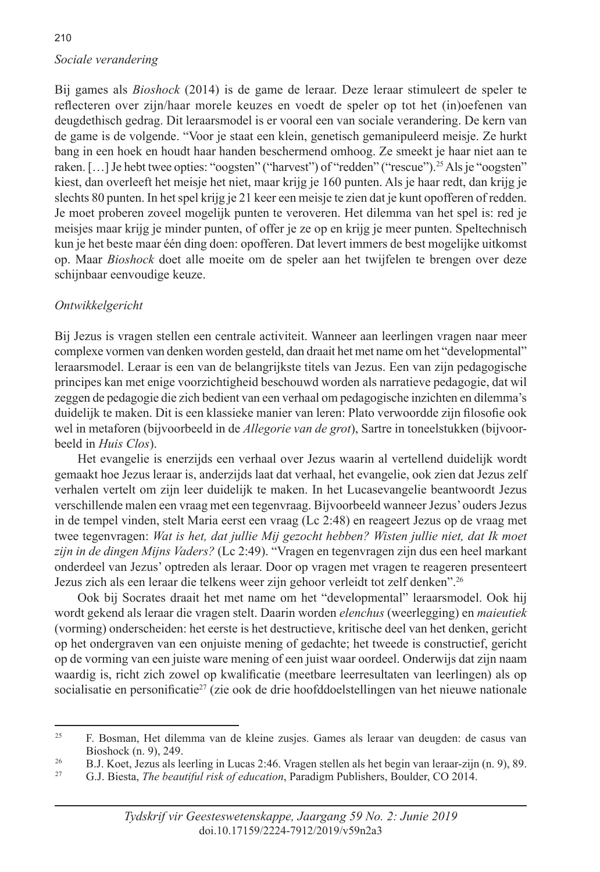## 210 *Sociale verandering*

Bij games als *Bioshock* (2014) is de game de leraar. Deze leraar stimuleert de speler te reflecteren over zijn/haar morele keuzes en voedt de speler op tot het (in)oefenen van deugdethisch gedrag. Dit leraarsmodel is er vooral een van sociale verandering. De kern van de game is de volgende. "Voor je staat een klein, genetisch gemanipuleerd meisje. Ze hurkt bang in een hoek en houdt haar handen beschermend omhoog. Ze smeekt je haar niet aan te raken. [...] Je hebt twee opties: "oogsten" ("harvest") of "redden" ("rescue").<sup>25</sup> Als je "oogsten" kiest, dan overleeft het meisje het niet, maar krijg je 160 punten. Als je haar redt, dan krijg je slechts 80 punten. In het spel krijg je 21 keer een meisje te zien dat je kunt opofferen of redden. Je moet proberen zoveel mogelijk punten te veroveren. Het dilemma van het spel is: red je meisjes maar krijg je minder punten, of offer je ze op en krijg je meer punten. Speltechnisch kun je het beste maar één ding doen: opofferen. Dat levert immers de best mogelijke uitkomst op. Maar *Bioshock* doet alle moeite om de speler aan het twijfelen te brengen over deze schijnbaar eenvoudige keuze.

## *Ontwikkelgericht*

Bij Jezus is vragen stellen een centrale activiteit. Wanneer aan leerlingen vragen naar meer complexe vormen van denken worden gesteld, dan draait het met name om het "developmental" leraarsmodel. Leraar is een van de belangrijkste titels van Jezus. Een van zijn pedagogische principes kan met enige voorzichtigheid beschouwd worden als narratieve pedagogie, dat wil zeggen de pedagogie die zich bedient van een verhaal om pedagogische inzichten en dilemma's duidelijk te maken. Dit is een klassieke manier van leren: Plato verwoordde zijn filosofie ook wel in metaforen (bijvoorbeeld in de *Allegorie van de grot*), Sartre in toneelstukken (bijvoorbeeld in *Huis Clos*).

Het evangelie is enerzijds een verhaal over Jezus waarin al vertellend duidelijk wordt gemaakt hoe Jezus leraar is, anderzijds laat dat verhaal, het evangelie, ook zien dat Jezus zelf verhalen vertelt om zijn leer duidelijk te maken. In het Lucasevangelie beantwoordt Jezus verschillende malen een vraag met een tegenvraag. Bijvoorbeeld wanneer Jezus' ouders Jezus in de tempel vinden, stelt Maria eerst een vraag (Lc 2:48) en reageert Jezus op de vraag met twee tegenvragen: *Wat is het, dat jullie Mij gezocht hebben? Wisten jullie niet, dat Ik moet zijn in de dingen Mijns Vaders?* (Lc 2:49). "Vragen en tegenvragen zijn dus een heel markant onderdeel van Jezus' optreden als leraar. Door op vragen met vragen te reageren presenteert Jezus zich als een leraar die telkens weer zijn gehoor verleidt tot zelf denken".26

Ook bij Socrates draait het met name om het "developmental" leraarsmodel. Ook hij wordt gekend als leraar die vragen stelt. Daarin worden *elenchus* (weerlegging) en *maieutiek* (vorming) onderscheiden: het eerste is het destructieve, kritische deel van het denken, gericht op het ondergraven van een onjuiste mening of gedachte; het tweede is constructief, gericht op de vorming van een juiste ware mening of een juist waar oordeel. Onderwijs dat zijn naam waardig is, richt zich zowel op kwalificatie (meetbare leerresultaten van leerlingen) als op socialisatie en personificatie<sup>27</sup> (zie ook de drie hoofddoelstellingen van het nieuwe nationale

<sup>25</sup> F. Bosman, Het dilemma van de kleine zusjes. Games als leraar van deugden: de casus van Bioshock (n. 9), 249.

<sup>&</sup>lt;sup>26</sup> B.J. Koet, Jezus als leerling in Lucas 2:46. Vragen stellen als het begin van leraar-zijn (n. 9), 89.<br><sup>27</sup> G.J. Biesta *The beguttful visk of education*, Paradigm Publishers, Boulder, CO 2014.

<sup>27</sup> G.J. Biesta, *The beautiful risk of education*, Paradigm Publishers, Boulder, CO 2014.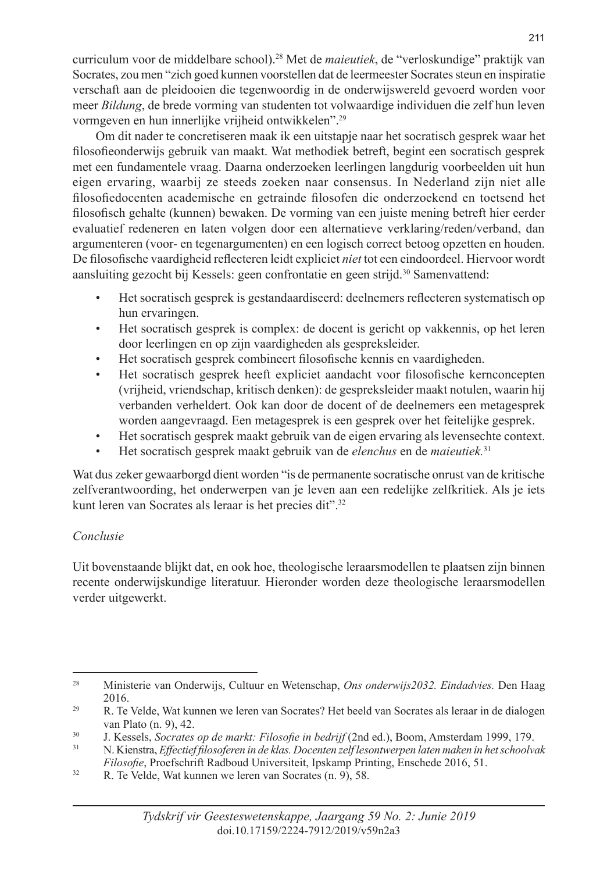curriculum voor de middelbare school).28 Met de *maieutiek*, de "verloskundige" praktijk van Socrates, zou men "zich goed kunnen voorstellen dat de leermeester Socrates steun en inspiratie verschaft aan de pleidooien die tegenwoordig in de onderwijswereld gevoerd worden voor meer *Bildung*, de brede vorming van studenten tot volwaardige individuen die zelf hun leven vormgeven en hun innerlijke vrijheid ontwikkelen".29

Om dit nader te concretiseren maak ik een uitstapje naar het socratisch gesprek waar het filosofieonderwijs gebruik van maakt. Wat methodiek betreft, begint een socratisch gesprek met een fundamentele vraag. Daarna onderzoeken leerlingen langdurig voorbeelden uit hun eigen ervaring, waarbij ze steeds zoeken naar consensus. In Nederland zijn niet alle filosofiedocenten academische en getrainde filosofen die onderzoekend en toetsend het filosofisch gehalte (kunnen) bewaken. De vorming van een juiste mening betreft hier eerder evaluatief redeneren en laten volgen door een alternatieve verklaring/reden/verband, dan argumenteren (voor- en tegenargumenten) en een logisch correct betoog opzetten en houden. De filosofische vaardigheid reflecteren leidt expliciet *niet* tot een eindoordeel. Hiervoor wordt aansluiting gezocht bij Kessels: geen confrontatie en geen strijd.30 Samenvattend:

- Het socratisch gesprek is gestandaardiseerd: deelnemers reflecteren systematisch op hun ervaringen.
- Het socratisch gesprek is complex: de docent is gericht op vakkennis, op het leren door leerlingen en op zijn vaardigheden als gespreksleider.
- Het socratisch gesprek combineert filosofische kennis en vaardigheden.
- Het socratisch gesprek heeft expliciet aandacht voor filosofische kernconcepten (vrijheid, vriendschap, kritisch denken): de gespreksleider maakt notulen, waarin hij verbanden verheldert. Ook kan door de docent of de deelnemers een metagesprek worden aangevraagd. Een metagesprek is een gesprek over het feitelijke gesprek.
- Het socratisch gesprek maakt gebruik van de eigen ervaring als levensechte context.
- Het socratisch gesprek maakt gebruik van de *elenchus* en de *maieutiek.*<sup>31</sup>

Wat dus zeker gewaarborgd dient worden "is de permanente socratische onrust van de kritische zelfverantwoording, het onderwerpen van je leven aan een redelijke zelfkritiek. Als je iets kunt leren van Socrates als leraar is het precies dit".32

#### *Conclusie*

Uit bovenstaande blijkt dat, en ook hoe, theologische leraarsmodellen te plaatsen zijn binnen recente onderwijskundige literatuur. Hieronder worden deze theologische leraarsmodellen verder uitgewerkt.

<sup>28</sup> Ministerie van Onderwijs, Cultuur en Wetenschap, *Ons onderwijs2032. Eindadvies.* Den Haag 2016.

<sup>&</sup>lt;sup>29</sup> R. Te Velde, Wat kunnen we leren van Socrates? Het beeld van Socrates als leraar in de dialogen van Plato (n. 9), 42.

<sup>30</sup> J. Kessels, *Socrates op de markt: Filosofie in bedrijf* (2nd ed.), Boom, Amsterdam 1999, 179.

<sup>31</sup> N. Kienstra, *Effectief filosoferen in de klas. Docenten zelf lesontwerpen laten maken in het schoolvak Filosofie*, Proefschrift Radboud Universiteit, Ipskamp Printing, Enschede 2016, 51.

 $32$  R. Te Velde, Wat kunnen we leren van Socrates (n. 9), 58.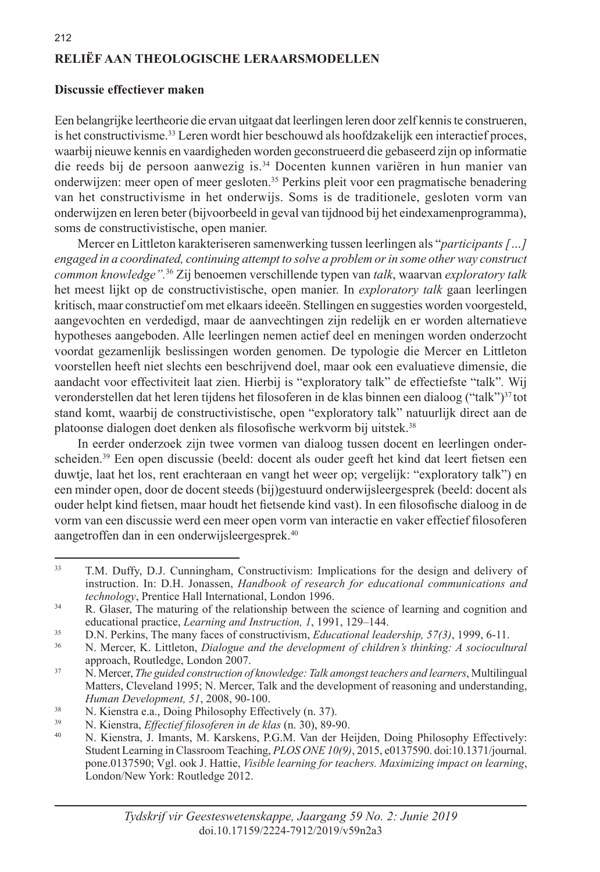## **RELIËF AAN THEOLOGISCHE LERAARSMODELLEN**

#### **Discussie effectiever maken**

Een belangrijke leertheorie die ervan uitgaat dat leerlingen leren door zelf kennis te construeren, is het constructivisme.33 Leren wordt hier beschouwd als hoofdzakelijk een interactief proces, waarbij nieuwe kennis en vaardigheden worden geconstrueerd die gebaseerd zijn op informatie die reeds bij de persoon aanwezig is.34 Docenten kunnen variëren in hun manier van onderwijzen: meer open of meer gesloten.35 Perkins pleit voor een pragmatische benadering van het constructivisme in het onderwijs. Soms is de traditionele, gesloten vorm van onderwijzen en leren beter (bijvoorbeeld in geval van tijdnood bij het eindexamenprogramma), soms de constructivistische, open manier.

Mercer en Littleton karakteriseren samenwerking tussen leerlingen als "*participants […] engaged in a coordinated, continuing attempt to solve a problem or in some other way construct common knowledge".*36 Zij benoemen verschillende typen van *talk*, waarvan *exploratory talk*  het meest lijkt op de constructivistische, open manier. In *exploratory talk* gaan leerlingen kritisch, maar constructief om met elkaars ideeën. Stellingen en suggesties worden voorgesteld, aangevochten en verdedigd, maar de aanvechtingen zijn redelijk en er worden alternatieve hypotheses aangeboden. Alle leerlingen nemen actief deel en meningen worden onderzocht voordat gezamenlijk beslissingen worden genomen. De typologie die Mercer en Littleton voorstellen heeft niet slechts een beschrijvend doel, maar ook een evaluatieve dimensie, die aandacht voor effectiviteit laat zien. Hierbij is "exploratory talk" de effectiefste "talk"*.* Wij veronderstellen dat het leren tijdens het filosoferen in de klas binnen een dialoog ("talk")<sup>37</sup> tot stand komt, waarbij de constructivistische, open "exploratory talk" natuurlijk direct aan de platoonse dialogen doet denken als filosofische werkvorm bij uitstek.<sup>38</sup>

In eerder onderzoek zijn twee vormen van dialoog tussen docent en leerlingen onderscheiden.39 Een open discussie (beeld: docent als ouder geeft het kind dat leert fietsen een duwtje, laat het los, rent erachteraan en vangt het weer op; vergelijk: "exploratory talk") en een minder open, door de docent steeds (bij)gestuurd onderwijsleergesprek (beeld: docent als ouder helpt kind fietsen, maar houdt het fietsende kind vast). In een filosofische dialoog in de vorm van een discussie werd een meer open vorm van interactie en vaker effectief filosoferen aangetroffen dan in een onderwijsleergesprek.40

<sup>33</sup> T.M. Duffy, D.J. Cunningham, Constructivism: Implications for the design and delivery of instruction. In: D.H. Jonassen, *Handbook of research for educational communications and technology*, Prentice Hall International, London 1996.

<sup>&</sup>lt;sup>34</sup> R. Glaser, The maturing of the relationship between the science of learning and cognition and educational practice, *Learning and Instruction, 1*, 1991, 129–144.

<sup>35</sup> D.N. Perkins, The many faces of constructivism, *Educational leadership, 57(3)*, 1999, 6-11.

<sup>36</sup> N. Mercer, K. Littleton, *Dialogue and the development of children's thinking: A sociocultural*  approach, Routledge, London 2007.

<sup>37</sup> N. Mercer, *The guided construction of knowledge: Talk amongst teachers and learners*, Multilingual Matters, Cleveland 1995; N. Mercer, Talk and the development of reasoning and understanding, *Human Development, 51*, 2008, 90-100.

<sup>&</sup>lt;sup>38</sup> N. Kienstra e.a., Doing Philosophy Effectively (n. 37).

<sup>39</sup> N. Kienstra, *Effectief filosoferen in de klas* (n. 30), 89-90.

N. Kienstra, J. Imants, M. Karskens, P.G.M. Van der Heijden, Doing Philosophy Effectively: Student Learning in Classroom Teaching, *PLOS ONE 10(9)*, 2015, e0137590. doi:10.1371/journal. pone.0137590; Vgl. ook J. Hattie, *Visible learning for teachers. Maximizing impact on learning*, London/New York: Routledge 2012.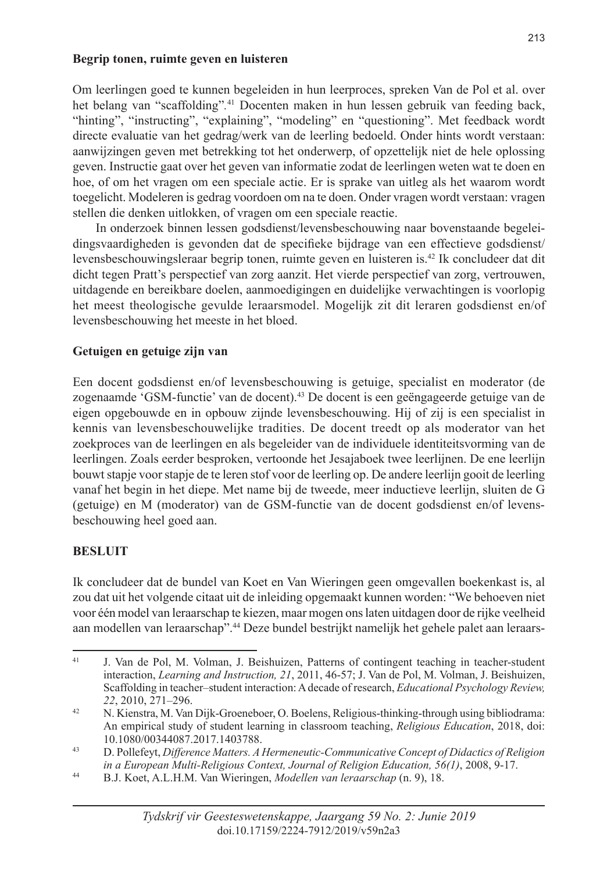#### **Begrip tonen, ruimte geven en luisteren**

Om leerlingen goed te kunnen begeleiden in hun leerproces, spreken Van de Pol et al. over het belang van "scaffolding"*.* 41 Docenten maken in hun lessen gebruik van feeding back, "hinting", "instructing", "explaining", "modeling" en "questioning". Met feedback wordt directe evaluatie van het gedrag/werk van de leerling bedoeld. Onder hints wordt verstaan: aanwijzingen geven met betrekking tot het onderwerp, of opzettelijk niet de hele oplossing geven. Instructie gaat over het geven van informatie zodat de leerlingen weten wat te doen en hoe, of om het vragen om een speciale actie. Er is sprake van uitleg als het waarom wordt toegelicht. Modeleren is gedrag voordoen om na te doen. Onder vragen wordt verstaan: vragen stellen die denken uitlokken, of vragen om een speciale reactie.

In onderzoek binnen lessen godsdienst/levensbeschouwing naar bovenstaande begeleidingsvaardigheden is gevonden dat de specifieke bijdrage van een effectieve godsdienst/ levensbeschouwingsleraar begrip tonen, ruimte geven en luisteren is.42 Ik concludeer dat dit dicht tegen Pratt's perspectief van zorg aanzit. Het vierde perspectief van zorg, vertrouwen, uitdagende en bereikbare doelen, aanmoedigingen en duidelijke verwachtingen is voorlopig het meest theologische gevulde leraarsmodel. Mogelijk zit dit leraren godsdienst en/of levensbeschouwing het meeste in het bloed.

#### **Getuigen en getuige zijn van**

Een docent godsdienst en/of levensbeschouwing is getuige, specialist en moderator (de zogenaamde 'GSM-functie' van de docent).43 De docent is een geëngageerde getuige van de eigen opgebouwde en in opbouw zijnde levensbeschouwing. Hij of zij is een specialist in kennis van levensbeschouwelijke tradities. De docent treedt op als moderator van het zoekproces van de leerlingen en als begeleider van de individuele identiteitsvorming van de leerlingen. Zoals eerder besproken, vertoonde het Jesajaboek twee leerlijnen. De ene leerlijn bouwt stapje voor stapje de te leren stof voor de leerling op. De andere leerlijn gooit de leerling vanaf het begin in het diepe. Met name bij de tweede, meer inductieve leerlijn, sluiten de G (getuige) en M (moderator) van de GSM-functie van de docent godsdienst en/of levensbeschouwing heel goed aan.

## **BESLUIT**

Ik concludeer dat de bundel van Koet en Van Wieringen geen omgevallen boekenkast is, al zou dat uit het volgende citaat uit de inleiding opgemaakt kunnen worden: "We behoeven niet voor één model van leraarschap te kiezen, maar mogen ons laten uitdagen door de rijke veelheid aan modellen van leraarschap".<sup>44</sup> Deze bundel bestrijkt namelijk het gehele palet aan leraars-

<sup>41</sup> J. Van de Pol, M. Volman, J. Beishuizen, Patterns of contingent teaching in teacher-student interaction, *Learning and Instruction, 21*, 2011, 46-57; J. Van de Pol, M. Volman, J. Beishuizen, Scaffolding in teacher–student interaction: A decade of research, *Educational Psychology Review, 22*, 2010, 271–296.

<sup>42</sup> N. Kienstra, M. Van Dijk-Groeneboer, O. Boelens, Religious-thinking-through using bibliodrama: An empirical study of student learning in classroom teaching, *Religious Education*, 2018, doi: 10.1080/00344087.2017.1403788.

<sup>43</sup> D. Pollefeyt, *Difference Matters. A Hermeneutic-Communicative Concept of Didactics of Religion in a European Multi-Religious Context, Journal of Religion Education, 56(1)*, 2008, 9-17.

<sup>44</sup> B.J. Koet, A.L.H.M. Van Wieringen, *Modellen van leraarschap* (n. 9), 18.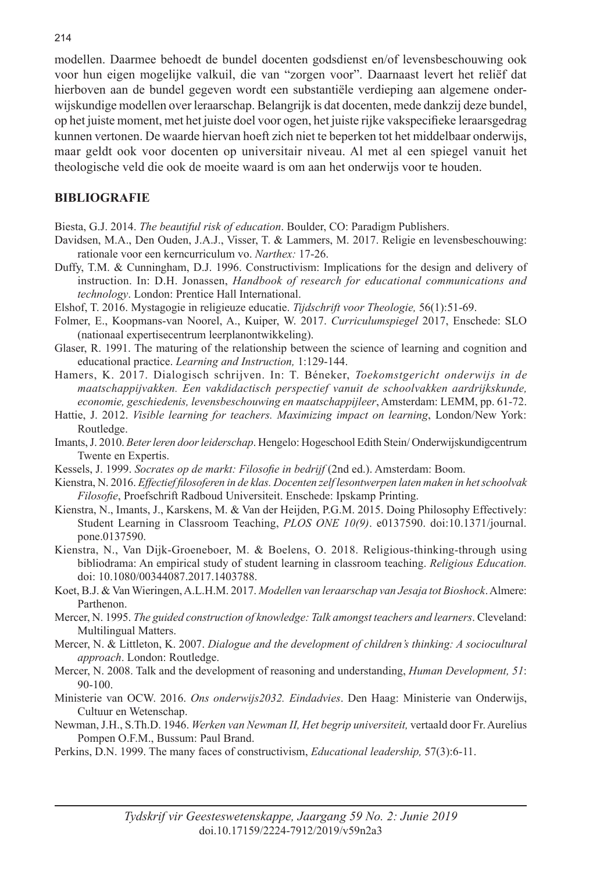modellen. Daarmee behoedt de bundel docenten godsdienst en/of levensbeschouwing ook voor hun eigen mogelijke valkuil, die van "zorgen voor". Daarnaast levert het reliëf dat hierboven aan de bundel gegeven wordt een substantiële verdieping aan algemene onderwijskundige modellen over leraarschap. Belangrijk is dat docenten, mede dankzij deze bundel, op het juiste moment, met het juiste doel voor ogen, het juiste rijke vakspecifieke leraarsgedrag kunnen vertonen. De waarde hiervan hoeft zich niet te beperken tot het middelbaar onderwijs, maar geldt ook voor docenten op universitair niveau. Al met al een spiegel vanuit het theologische veld die ook de moeite waard is om aan het onderwijs voor te houden.

#### **BIBLIOGRAFIE**

Biesta, G.J. 2014. *The beautiful risk of education*. Boulder, CO: Paradigm Publishers.

- Davidsen, M.A., Den Ouden, J.A.J., Visser, T. & Lammers, M. 2017. Religie en levensbeschouwing: rationale voor een kerncurriculum vo. *Narthex:* 17-26.
- Duffy, T.M. & Cunningham, D.J. 1996. Constructivism: Implications for the design and delivery of instruction. In: D.H. Jonassen, *Handbook of research for educational communications and technology*. London: Prentice Hall International.
- Elshof, T. 2016. Mystagogie in religieuze educatie. *Tijdschrift voor Theologie,* 56(1):51-69.
- Folmer, E., Koopmans-van Noorel, A., Kuiper, W. 2017. *Curriculumspiegel* 2017, Enschede: SLO (nationaal expertisecentrum leerplanontwikkeling).
- Glaser, R. 1991. The maturing of the relationship between the science of learning and cognition and educational practice. *Learning and Instruction,* 1:129-144.
- Hamers, K. 2017. Dialogisch schrijven. In: T. Béneker, *Toekomstgericht onderwijs in de maatschappijvakken. Een vakdidactisch perspectief vanuit de schoolvakken aardrijkskunde, economie, geschiedenis, levensbeschouwing en maatschappijleer*, Amsterdam: LEMM, pp. 61-72.
- Hattie, J. 2012. *Visible learning for teachers. Maximizing impact on learning*, London/New York: Routledge.
- Imants, J. 2010. *Beter leren door leiderschap*. Hengelo: Hogeschool Edith Stein/ Onderwijskundigcentrum Twente en Expertis.
- Kessels, J. 1999. *Socrates op de markt: Filosofie in bedrijf* (2nd ed.). Amsterdam: Boom.
- Kienstra, N. 2016. *Effectief filosoferen in de klas. Docenten zelf lesontwerpen laten maken in het schoolvak Filosofie*, Proefschrift Radboud Universiteit. Enschede: Ipskamp Printing.
- Kienstra, N., Imants, J., Karskens, M. & Van der Heijden, P.G.M. 2015. Doing Philosophy Effectively: Student Learning in Classroom Teaching, *PLOS ONE 10(9)*. e0137590. doi:10.1371/journal. pone.0137590.
- Kienstra, N., Van Dijk-Groeneboer, M. & Boelens, O. 2018. Religious-thinking-through using bibliodrama: An empirical study of student learning in classroom teaching. *Religious Education.* doi: 10.1080/00344087.2017.1403788.
- Koet, B.J. & Van Wieringen, A.L.H.M. 2017. *Modellen van leraarschap van Jesaja tot Bioshock*. Almere: Parthenon.
- Mercer, N. 1995. *The guided construction of knowledge: Talk amongst teachers and learners*. Cleveland: Multilingual Matters.
- Mercer, N. & Littleton, K. 2007. *Dialogue and the development of children's thinking: A sociocultural approach*. London: Routledge.
- Mercer, N. 2008. Talk and the development of reasoning and understanding, *Human Development, 51*: 90-100.
- Ministerie van OCW. 2016. *Ons onderwijs2032. Eindadvies*. Den Haag: Ministerie van Onderwijs, Cultuur en Wetenschap.
- Newman, J.H., S.Th.D. 1946. *Werken van Newman II, Het begrip universiteit,* vertaald door Fr. Aurelius Pompen O.F.M., Bussum: Paul Brand.
- Perkins, D.N. 1999. The many faces of constructivism, *Educational leadership,* 57(3):6-11.